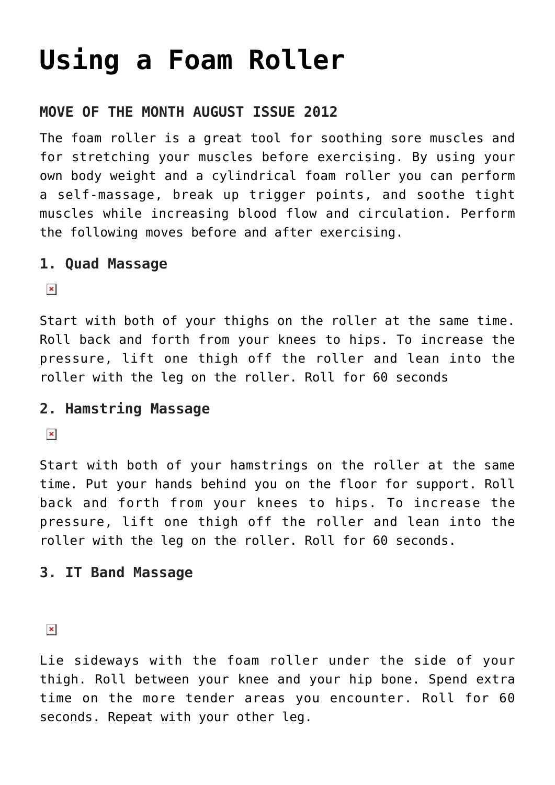# **[Using a Foam Roller](https://chicagochirosports.com/2012/08/using-a-foam-roller/)**

### **MOVE OF THE MONTH AUGUST ISSUE 2012**

The foam roller is a great tool for soothing sore muscles and for stretching your muscles before exercising. By using your own body weight and a cylindrical foam roller you can perform a self-massage, break up trigger points, and soothe tight muscles while increasing blood flow and circulation. Perform the following moves before and after exercising.

#### **1. Quad Massage**

 $\pmb{\times}$ 

Start with both of your thighs on the roller at the same time. Roll back and forth from your knees to hips. To increase the pressure, lift one thigh off the roller and lean into the roller with the leg on the roller. Roll for 60 seconds

#### **2. Hamstring Massage**

 $\pmb{\times}$ 

Start with both of your hamstrings on the roller at the same time. Put your hands behind you on the floor for support. Roll back and forth from your knees to hips. To increase the pressure, lift one thigh off the roller and lean into the roller with the leg on the roller. Roll for 60 seconds.

#### **3. IT Band Massage**

 $\pmb{\times}$ 

Lie sideways with the foam roller under the side of your thigh. Roll between your knee and your hip bone. Spend extra time on the more tender areas you encounter. Roll for 60 seconds. Repeat with your other leg.